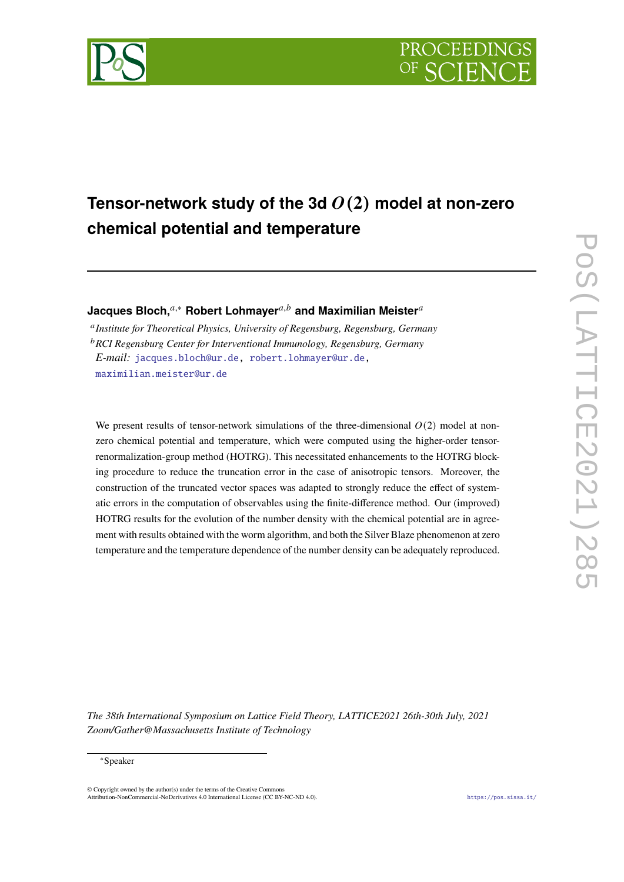



# **Tensor-network study of the 3d** (**2**) **model at non-zero chemical potential and temperature**

**Jacques Bloch,**<sup>*a*,∗</sup> Robert Lohmayer<sup>*a,b*</sup> and Maximilian Meister<sup>*a*</sup>

 *Institute for Theoretical Physics, University of Regensburg, Regensburg, Germany RCI Regensburg Center for Interventional Immunology, Regensburg, Germany E-mail:* [jacques.bloch@ur.de,](mailto:jacques.bloch@ur.de) [robert.lohmayer@ur.de](mailto:robert.lohmayer@ur.de), [maximilian.meister@ur.de](mailto:maximilian.meister@ur.de)

We present results of tensor-network simulations of the three-dimensional  $O(2)$  model at nonzero chemical potential and temperature, which were computed using the higher-order tensorrenormalization-group method (HOTRG). This necessitated enhancements to the HOTRG blocking procedure to reduce the truncation error in the case of anisotropic tensors. Moreover, the construction of the truncated vector spaces was adapted to strongly reduce the effect of systematic errors in the computation of observables using the finite-difference method. Our (improved) HOTRG results for the evolution of the number density with the chemical potential are in agreement with results obtained with the worm algorithm, and both the Silver Blaze phenomenon at zero temperature and the temperature dependence of the number density can be adequately reproduced.

*The 38th International Symposium on Lattice Field Theory, LATTICE2021 26th-30th July, 2021 Zoom/Gather@Massachusetts Institute of Technology*

#### <sup>∗</sup>Speaker

 $\odot$  Copyright owned by the author(s) under the terms of the Creative Common Attribution-NonCommercial-NoDerivatives 4.0 International License (CC BY-NC-ND 4.0). <https://pos.sissa.it/>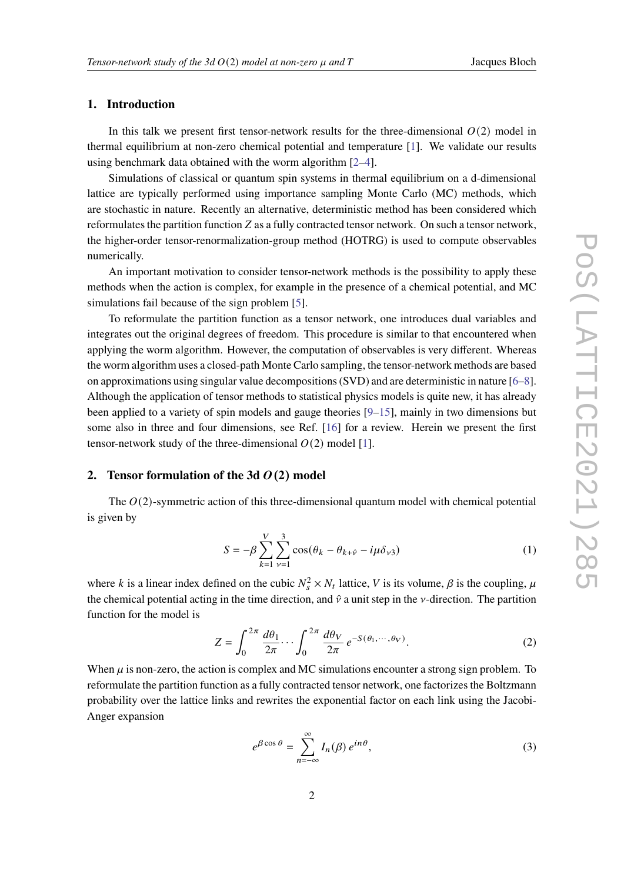# **1. Introduction**

In this talk we present first tensor-network results for the three-dimensional  $O(2)$  model in thermal equilibrium at non-zero chemical potential and temperature [[1](#page-7-0)]. We validate our results using benchmark data obtained with the worm algorithm [\[2–](#page-7-1)[4\]](#page-7-2).

Simulations of classical or quantum spin systems in thermal equilibrium on a d-dimensional lattice are typically performed using importance sampling Monte Carlo (MC) methods, which are stochastic in nature. Recently an alternative, deterministic method has been considered which reformulates the partition function  $Z$  as a fully contracted tensor network. On such a tensor network, the higher-order tensor-renormalization-group method (HOTRG) is used to compute observables numerically.

An important motivation to consider tensor-network methods is the possibility to apply these methods when the action is complex, for example in the presence of a chemical potential, and MC simulations fail because of the sign problem [\[5\]](#page-7-3).

To reformulate the partition function as a tensor network, one introduces dual variables and integrates out the original degrees of freedom. This procedure is similar to that encountered when applying the worm algorithm. However, the computation of observables is very different. Whereas the worm algorithm uses a closed-path Monte Carlo sampling, the tensor-network methods are based on approximations using singular value decompositions (SVD) and are deterministic in nature [\[6–](#page-7-4)[8\]](#page-8-0). Although the application of tensor methods to statistical physics models is quite new, it has already been applied to a variety of spin models and gauge theories [[9](#page-8-1)–[15\]](#page-8-2), mainly in two dimensions but some also in three and four dimensions, see Ref. [\[16\]](#page-8-3) for a review. Herein we present the first tensor-network study of the three-dimensional  $O(2)$  model [[1](#page-7-0)].

## **2.** Tensor formulation of the 3d  $O(2)$  model

The  $O(2)$ -symmetric action of this three-dimensional quantum model with chemical potential is given by

$$
S = -\beta \sum_{k=1}^{V} \sum_{\nu=1}^{3} \cos(\theta_k - \theta_{k+\hat{\nu}} - i\mu \delta_{\nu 3})
$$
 (1)

where k is a linear index defined on the cubic  $N_s^2 \times N_t$  lattice, V is its volume,  $\beta$  is the coupling,  $\mu$ the chemical potential acting in the time direction, and  $\hat{v}$  a unit step in the  $v$ -direction. The partition function for the model is

$$
Z = \int_0^{2\pi} \frac{d\theta_1}{2\pi} \cdots \int_0^{2\pi} \frac{d\theta_V}{2\pi} e^{-S(\theta_1, \cdots, \theta_V)}.
$$
 (2)

When  $\mu$  is non-zero, the action is complex and MC simulations encounter a strong sign problem. To reformulate the partition function as a fully contracted tensor network, one factorizes the Boltzmann probability over the lattice links and rewrites the exponential factor on each link using the Jacobi-Anger expansion

$$
e^{\beta \cos \theta} = \sum_{n=-\infty}^{\infty} I_n(\beta) e^{in\theta}, \tag{3}
$$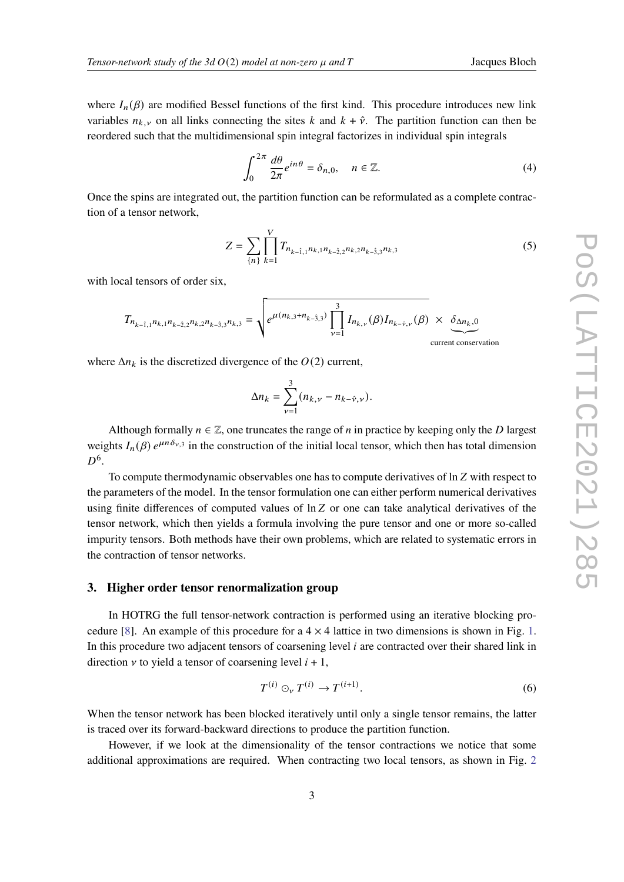where  $I_n(\beta)$  are modified Bessel functions of the first kind. This procedure introduces new link variables  $n_{k, y}$  on all links connecting the sites k and  $k + \hat{y}$ . The partition function can then be reordered such that the multidimensional spin integral factorizes in individual spin integrals

$$
\int_0^{2\pi} \frac{d\theta}{2\pi} e^{in\theta} = \delta_{n,0}, \quad n \in \mathbb{Z}.
$$
 (4)

Once the spins are integrated out, the partition function can be reformulated as a complete contraction of a tensor network,

$$
Z = \sum_{\{n\}} \prod_{k=1}^{V} T_{n_{k-1,1}n_{k,1}n_{k-2,2}n_{k,2}n_{k-3,3}n_{k,3}} \tag{5}
$$

with local tensors of order six,

$$
T_{n_{k-\hat{1},1}n_{k,1}n_{k-\hat{2},2}n_{k,2}n_{k-\hat{3},3}n_{k,3}} = \sqrt{e^{\mu(n_{k,3}+n_{k-\hat{3},3})} \prod_{\nu=1}^{3} I_{n_{k,\nu}}(\beta) I_{n_{k-\hat{\nu},\nu}}(\beta)} \times \underbrace{\delta_{\Delta n_k,0}}_{\text{current conservation}}
$$

where  $\Delta n_k$  is the discretized divergence of the  $O(2)$  current,

$$
\Delta n_k = \sum_{\nu=1}^3 (n_{k,\nu} - n_{k-\hat{\nu},\nu}).
$$

Although formally  $n \in \mathbb{Z}$ , one truncates the range of *n* in practice by keeping only the *D* largest weights  $I_n(\beta) e^{\mu n \delta_{\nu,3}}$  in the construction of the initial local tensor, which then has total dimension  $D^6$ .

To compute thermodynamic observables one has to compute derivatives of  $\ln Z$  with respect to the parameters of the model. In the tensor formulation one can either perform numerical derivatives using finite differences of computed values of  $\ln Z$  or one can take analytical derivatives of the tensor network, which then yields a formula involving the pure tensor and one or more so-called impurity tensors. Both methods have their own problems, which are related to systematic errors in the contraction of tensor networks.

#### **3. Higher order tensor renormalization group**

In HOTRG the full tensor-network contraction is performed using an iterative blocking pro-cedure [\[8](#page-8-0)]. An example of this procedure for a  $4 \times 4$  lattice in two dimensions is shown in Fig. [1](#page-3-0). In this procedure two adjacent tensors of coarsening level  $i$  are contracted over their shared link in direction  $\nu$  to yield a tensor of coarsening level  $i + 1$ ,

$$
T^{(i)} \odot_{\mathcal{V}} T^{(i)} \rightarrow T^{(i+1)}.
$$
 (6)

When the tensor network has been blocked iteratively until only a single tensor remains, the latter is traced over its forward-backward directions to produce the partition function.

However, if we look at the dimensionality of the tensor contractions we notice that some additional approximations are required. When contracting two local tensors, as shown in Fig. [2](#page-3-1)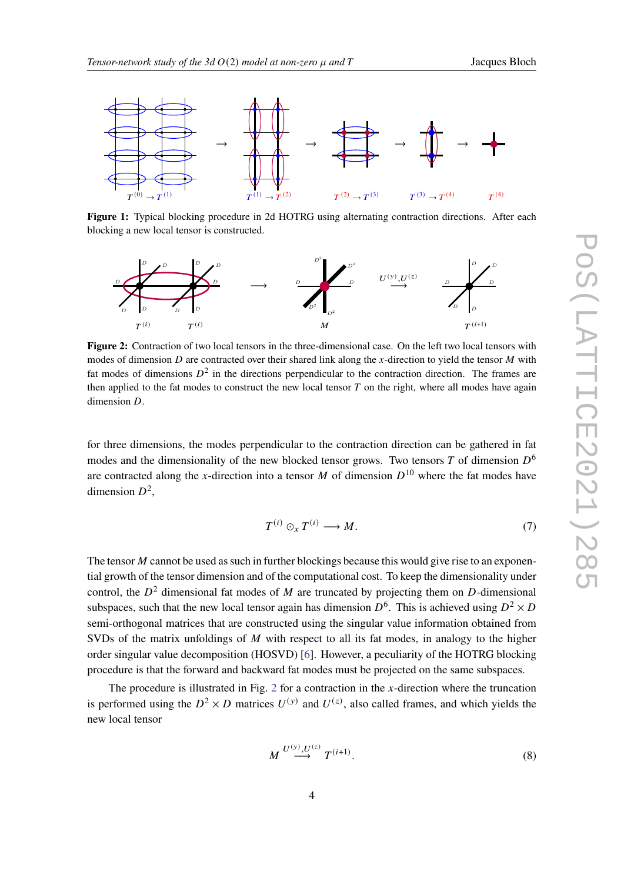<span id="page-3-0"></span>

**Figure 1:** Typical blocking procedure in 2d HOTRG using alternating contraction directions. After each blocking a new local tensor is constructed.

<span id="page-3-1"></span>

**Figure 2:** Contraction of two local tensors in the three-dimensional case. On the left two local tensors with modes of dimension  $D$  are contracted over their shared link along the x-direction to yield the tensor  $M$  with fat modes of dimensions  $D^2$  in the directions perpendicular to the contraction direction. The frames are then applied to the fat modes to construct the new local tensor  $T$  on the right, where all modes have again dimension  $D$ .

for three dimensions, the modes perpendicular to the contraction direction can be gathered in fat modes and the dimensionality of the new blocked tensor grows. Two tensors T of dimension  $D^6$ are contracted along the x-direction into a tensor M of dimension  $D^{10}$  where the fat modes have dimension  $D^2$ ,

$$
T^{(i)} \odot_x T^{(i)} \longrightarrow M. \tag{7}
$$

The tensor  $M$  cannot be used as such in further blockings because this would give rise to an exponential growth of the tensor dimension and of the computational cost. To keep the dimensionality under control, the  $D^2$  dimensional fat modes of M are truncated by projecting them on D-dimensional subspaces, such that the new local tensor again has dimension  $D^6$ . This is achieved using  $D^2 \times D$ semi-orthogonal matrices that are constructed using the singular value information obtained from SVDs of the matrix unfoldings of  $M$  with respect to all its fat modes, in analogy to the higher order singular value decomposition (HOSVD) [\[6\]](#page-7-4). However, a peculiarity of the HOTRG blocking procedure is that the forward and backward fat modes must be projected on the same subspaces.

The procedure is illustrated in Fig. [2](#page-3-1) for a contraction in the  $x$ -direction where the truncation is performed using the  $D^2 \times D$  matrices  $U^{(y)}$  and  $U^{(z)}$ , also called frames, and which yields the new local tensor

$$
M \stackrel{U^{(y)}, U^{(z)}}{\longrightarrow} T^{(i+1)}.
$$
 (8)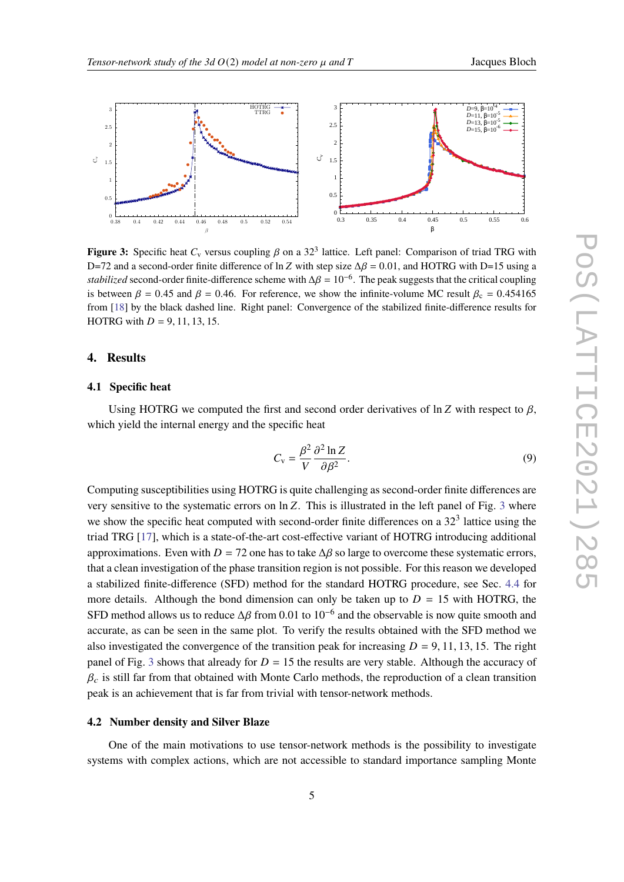<span id="page-4-0"></span>

**Figure 3:** Specific heat  $C_v$  versus coupling  $\beta$  on a 32<sup>3</sup> lattice. Left panel: Comparison of triad TRG with D=72 and a second-order finite difference of ln Z with step size  $\Delta \beta = 0.01$ , and HOTRG with D=15 using a *stabilized* second-order finite-difference scheme with  $\Delta \beta = 10^{-6}$ . The peak suggests that the critical coupling is between  $\beta = 0.45$  and  $\beta = 0.46$ . For reference, we show the infinite-volume MC result  $\beta_c = 0.454165$ from [[18\]](#page-8-4) by the black dashed line. Right panel: Convergence of the stabilized finite-difference results for HOTRG with  $D = 9, 11, 13, 15$ .

#### **4. Results**

#### **4.1 Specific heat**

Using HOTRG we computed the first and second order derivatives of  $\ln Z$  with respect to  $\beta$ , which yield the internal energy and the specific heat

$$
C_{\rm v} = \frac{\beta^2}{V} \frac{\partial^2 \ln Z}{\partial \beta^2}.
$$
\n(9)

Computing susceptibilities using HOTRG is quite challenging as second-order finite differences are very sensitive to the systematic errors on  $\ln Z$ . This is illustrated in the left panel of Fig. [3](#page-4-0) where we show the specific heat computed with second-order finite differences on a 32<sup>3</sup> lattice using the triad TRG [\[17](#page-8-5)], which is a state-of-the-art cost-effective variant of HOTRG introducing additional approximations. Even with  $D = 72$  one has to take  $\Delta\beta$  so large to overcome these systematic errors, that a clean investigation of the phase transition region is not possible. For this reason we developed a stabilized finite-difference (SFD) method for the standard HOTRG procedure, see Sec. [4.4](#page-6-0) for more details. Although the bond dimension can only be taken up to  $D = 15$  with HOTRG, the SFD method allows us to reduce  $\Delta \beta$  from 0.01 to 10<sup>-6</sup> and the observable is now quite smooth and accurate, as can be seen in the same plot. To verify the results obtained with the SFD method we also investigated the convergence of the transition peak for increasing  $D = 9, 11, 13, 15$ . The right panel of Fig. [3](#page-4-0) shows that already for  $D = 15$  the results are very stable. Although the accuracy of  $\beta_c$  is still far from that obtained with Monte Carlo methods, the reproduction of a clean transition peak is an achievement that is far from trivial with tensor-network methods.

#### **4.2 Number density and Silver Blaze**

One of the main motivations to use tensor-network methods is the possibility to investigate systems with complex actions, which are not accessible to standard importance sampling Monte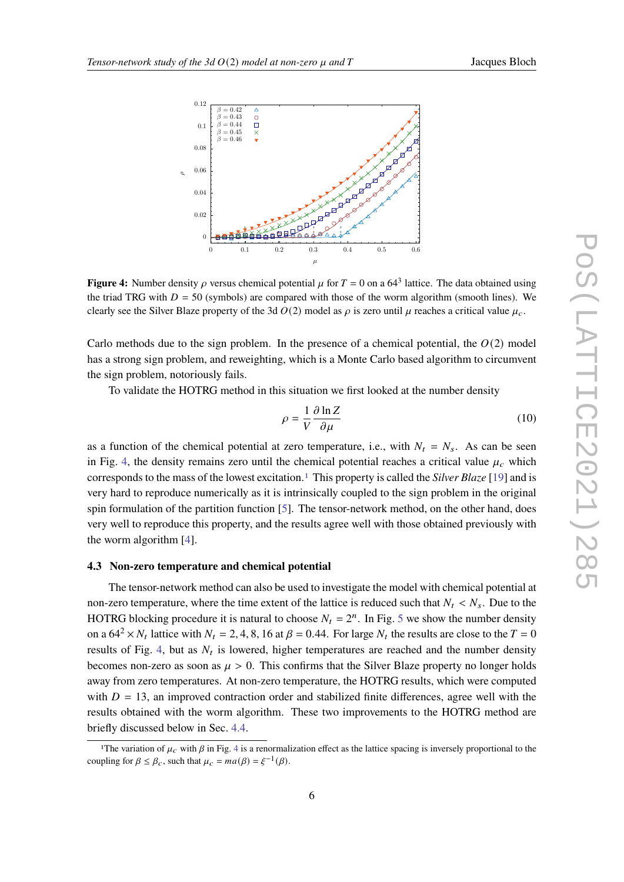<span id="page-5-0"></span>

**Figure 4:** Number density  $\rho$  versus chemical potential  $\mu$  for  $T = 0$  on a 64<sup>3</sup> lattice. The data obtained using the triad TRG with  $D = 50$  (symbols) are compared with those of the worm algorithm (smooth lines). We clearly see the Silver Blaze property of the 3d  $O(2)$  model as  $\rho$  is zero until  $\mu$  reaches a critical value  $\mu_c$ .

Carlo methods due to the sign problem. In the presence of a chemical potential, the  $O(2)$  model has a strong sign problem, and reweighting, which is a Monte Carlo based algorithm to circumvent the sign problem, notoriously fails.

To validate the HOTRG method in this situation we first looked at the number density

$$
\rho = \frac{1}{V} \frac{\partial \ln Z}{\partial \mu} \tag{10}
$$

as a function of the chemical potential at zero temperature, i.e., with  $N_t = N_s$ . As can be seen in Fig. [4](#page-5-0), the density remains zero until the chemical potential reaches a critical value  $\mu_c$  which corresponds to the mass of the lowest excitation.[1](#page-5-1) This property is called the *Silver Blaze* [[19\]](#page-8-6) and is very hard to reproduce numerically as it is intrinsically coupled to the sign problem in the original spin formulation of the partition function [[5](#page-7-3)]. The tensor-network method, on the other hand, does very well to reproduce this property, and the results agree well with those obtained previously with the worm algorithm [\[4\]](#page-7-2).

### **4.3 Non-zero temperature and chemical potential**

The tensor-network method can also be used to investigate the model with chemical potential at non-zero temperature, where the time extent of the lattice is reduced such that  $N_t < N_s$ . Due to the HOTRG blocking procedure it is natural to choose  $N_t = 2^n$ . In Fig. [5](#page-6-1) we show the number density on a  $64^2 \times N_t$  lattice with  $N_t = 2, 4, 8, 16$  at  $\beta = 0.44$ . For large  $N_t$  the results are close to the  $T = 0$ results of Fig. [4,](#page-5-0) but as  $N_t$  is lowered, higher temperatures are reached and the number density becomes non-zero as soon as  $\mu > 0$ . This confirms that the Silver Blaze property no longer holds away from zero temperatures. At non-zero temperature, the HOTRG results, which were computed with  $D = 13$ , an improved contraction order and stabilized finite differences, agree well with the results obtained with the worm algorithm. These two improvements to the HOTRG method are briefly discussed below in Sec. [4.4](#page-6-0).

<span id="page-5-1"></span><sup>&</sup>lt;sup>1</sup>The variation of  $\mu_c$  with  $\beta$  in Fig. [4](#page-5-0) is a renormalization effect as the lattice spacing is inversely proportional to the coupling for  $\beta \leq \beta_c$ , such that  $\mu_c = ma(\beta) = \xi^{-1}(\beta)$ .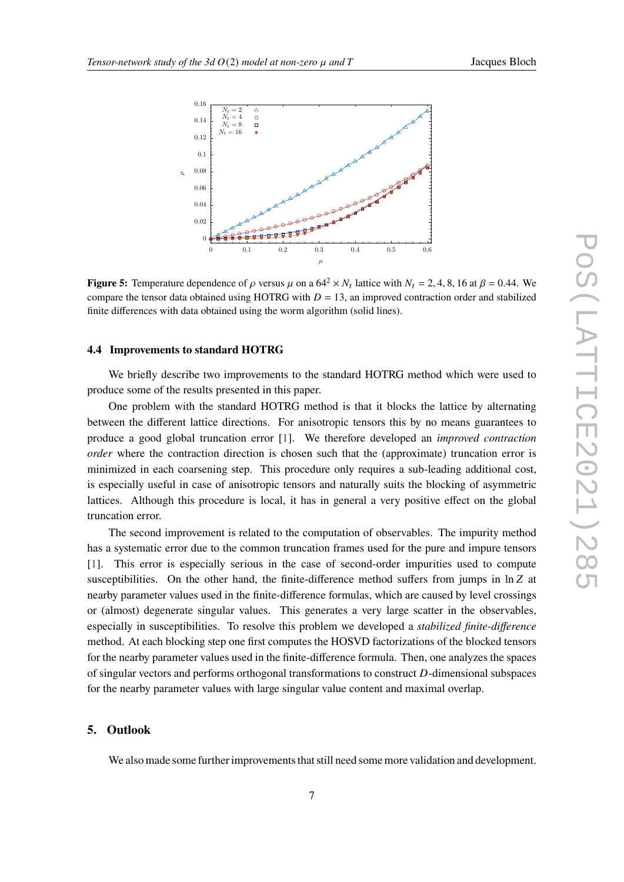<span id="page-6-1"></span>

**Figure 5:** Temperature dependence of  $\rho$  versus  $\mu$  on a  $64^2 \times N_t$  lattice with  $N_t = 2, 4, 8, 16$  at  $\beta = 0.44$ . We compare the tensor data obtained using HOTRG with  $D = 13$ , an improved contraction order and stabilized finite differences with data obtained using the worm algorithm (solid lines).

#### <span id="page-6-0"></span>**4.4 Improvements to standard HOTRG**

We briefly describe two improvements to the standard HOTRG method which were used to produce some of the results presented in this paper.

One problem with the standard HOTRG method is that it blocks the lattice by alternating between the different lattice directions. For anisotropic tensors this by no means guarantees to produce a good global truncation error [\[1\]](#page-7-0). We therefore developed an *improved contraction order* where the contraction direction is chosen such that the (approximate) truncation error is minimized in each coarsening step. This procedure only requires a sub-leading additional cost, is especially useful in case of anisotropic tensors and naturally suits the blocking of asymmetric lattices. Although this procedure is local, it has in general a very positive effect on the global truncation error.

The second improvement is related to the computation of observables. The impurity method has a systematic error due to the common truncation frames used for the pure and impure tensors [[1](#page-7-0)]. This error is especially serious in the case of second-order impurities used to compute susceptibilities. On the other hand, the finite-difference method suffers from jumps in  $\ln Z$  at nearby parameter values used in the finite-difference formulas, which are caused by level crossings or (almost) degenerate singular values. This generates a very large scatter in the observables, especially in susceptibilities. To resolve this problem we developed a *stabilized finite-difference* method. At each blocking step one first computes the HOSVD factorizations of the blocked tensors for the nearby parameter values used in the finite-difference formula. Then, one analyzes the spaces of singular vectors and performs orthogonal transformations to construct  $D$ -dimensional subspaces for the nearby parameter values with large singular value content and maximal overlap.

#### **5. Outlook**

We also made some further improvements that still need some more validation and development.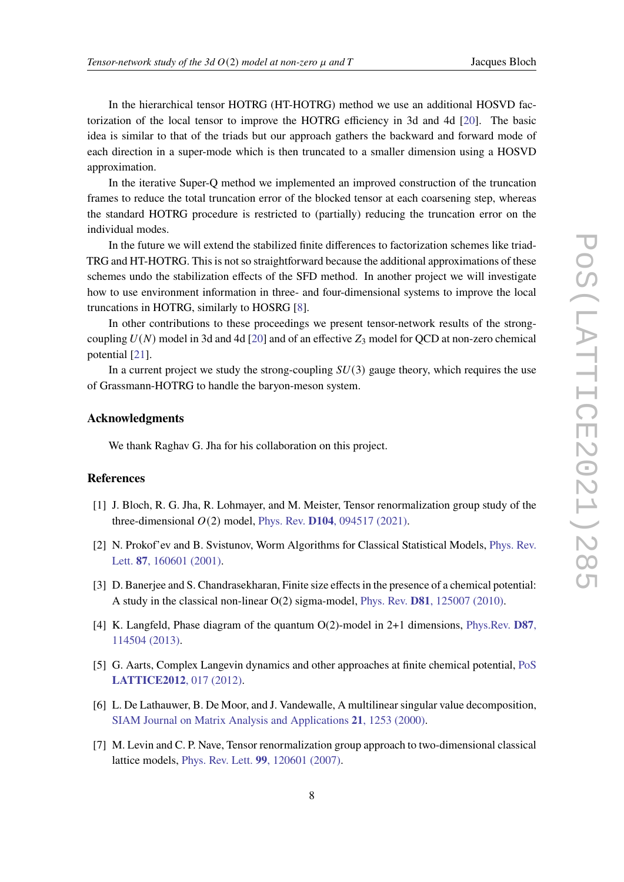In the hierarchical tensor HOTRG (HT-HOTRG) method we use an additional HOSVD factorization of the local tensor to improve the HOTRG efficiency in 3d and 4d [\[20](#page-8-7)]. The basic idea is similar to that of the triads but our approach gathers the backward and forward mode of each direction in a super-mode which is then truncated to a smaller dimension using a HOSVD approximation.

In the iterative Super-Q method we implemented an improved construction of the truncation frames to reduce the total truncation error of the blocked tensor at each coarsening step, whereas the standard HOTRG procedure is restricted to (partially) reducing the truncation error on the individual modes.

In the future we will extend the stabilized finite differences to factorization schemes like triad-TRG and HT-HOTRG. This is not so straightforward because the additional approximations of these schemes undo the stabilization effects of the SFD method. In another project we will investigate how to use environment information in three- and four-dimensional systems to improve the local truncations in HOTRG, similarly to HOSRG [[8](#page-8-0)].

In other contributions to these proceedings we present tensor-network results of the strongcoupling  $U(N)$  model in 3d and 4d [\[20](#page-8-7)] and of an effective  $Z_3$  model for QCD at non-zero chemical potential [[21\]](#page-8-8).

In a current project we study the strong-coupling  $SU(3)$  gauge theory, which requires the use of Grassmann-HOTRG to handle the baryon-meson system.

# **Acknowledgments**

We thank Raghav G. Jha for his collaboration on this project.

# **References**

- <span id="page-7-0"></span>[1] J. Bloch, R. G. Jha, R. Lohmayer, and M. Meister, Tensor renormalization group study of the three-dimensional  $O(2)$  model, Phys. Rev. **D104**[, 094517 \(2021\)](https://doi.org/10.1103/PhysRevD.104.094517).
- <span id="page-7-1"></span>[2] N. Prokof'ev and B. Svistunov, Worm Algorithms for Classical Statistical Models, [Phys. Rev.](https://doi.org/10.1103/PhysRevLett.87.160601) Lett. **87**[, 160601 \(2001\).](https://doi.org/10.1103/PhysRevLett.87.160601)
- [3] D. Banerjee and S. Chandrasekharan, Finite size effects in the presence of a chemical potential: A study in the classical non-linear O(2) sigma-model, Phys. Rev. **D81**[, 125007 \(2010\).](https://doi.org/10.1103/PhysRevD.81.125007)
- <span id="page-7-2"></span>[4] K. Langfeld, Phase diagram of the quantum O(2)-model in 2+1 dimensions, [Phys.Rev.](https://doi.org/10.1103/PhysRevD.87.114504) **D87**, [114504 \(2013\).](https://doi.org/10.1103/PhysRevD.87.114504)
- <span id="page-7-3"></span>[5] G. Aarts, Complex Langevin dynamics and other approaches at finite chemical potential, [PoS](https://arxiv.org/abs/1302.3028) **[LATTICE2012](https://arxiv.org/abs/1302.3028)**, 017 (2012).
- <span id="page-7-4"></span>[6] L. De Lathauwer, B. De Moor, and J. Vandewalle, A multilinear singular value decomposition, [SIAM Journal on Matrix Analysis and Applications](https://doi.org/10.1137/S0895479896305696) **21**, 1253 (2000).
- [7] M. Levin and C. P. Nave, Tensor renormalization group approach to two-dimensional classical lattice models, Phys. Rev. Lett. **99**[, 120601 \(2007\).](https://doi.org/10.1103/PhysRevLett.99.120601)